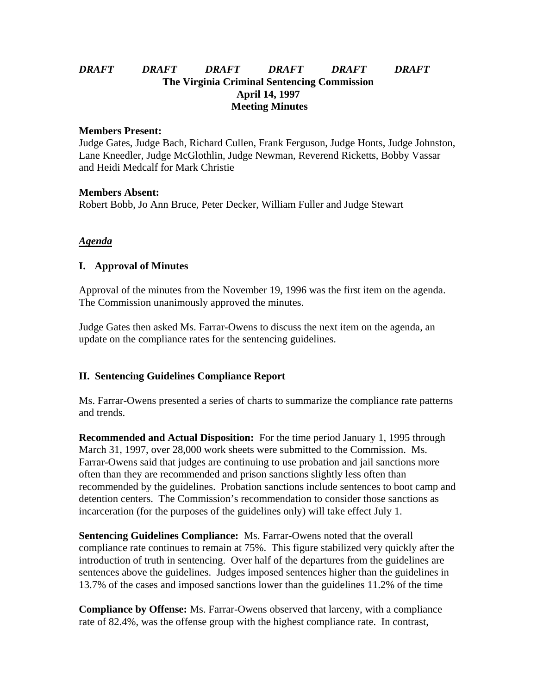## *DRAFT DRAFT DRAFT DRAFT DRAFT DRAFT* **The Virginia Criminal Sentencing Commission April 14, 1997 Meeting Minutes**

#### **Members Present:**

Judge Gates, Judge Bach, Richard Cullen, Frank Ferguson, Judge Honts, Judge Johnston, Lane Kneedler, Judge McGlothlin, Judge Newman, Reverend Ricketts, Bobby Vassar and Heidi Medcalf for Mark Christie

#### **Members Absent:**

Robert Bobb, Jo Ann Bruce, Peter Decker, William Fuller and Judge Stewart

## *Agenda*

#### **I. Approval of Minutes**

Approval of the minutes from the November 19, 1996 was the first item on the agenda. The Commission unanimously approved the minutes.

Judge Gates then asked Ms. Farrar-Owens to discuss the next item on the agenda, an update on the compliance rates for the sentencing guidelines.

# **II. Sentencing Guidelines Compliance Report**

Ms. Farrar-Owens presented a series of charts to summarize the compliance rate patterns and trends.

**Recommended and Actual Disposition:** For the time period January 1, 1995 through March 31, 1997, over 28,000 work sheets were submitted to the Commission. Ms. Farrar-Owens said that judges are continuing to use probation and jail sanctions more often than they are recommended and prison sanctions slightly less often than recommended by the guidelines. Probation sanctions include sentences to boot camp and detention centers. The Commission's recommendation to consider those sanctions as incarceration (for the purposes of the guidelines only) will take effect July 1.

**Sentencing Guidelines Compliance:** Ms. Farrar-Owens noted that the overall compliance rate continues to remain at 75%. This figure stabilized very quickly after the introduction of truth in sentencing. Over half of the departures from the guidelines are sentences above the guidelines. Judges imposed sentences higher than the guidelines in 13.7% of the cases and imposed sanctions lower than the guidelines 11.2% of the time

**Compliance by Offense:** Ms. Farrar-Owens observed that larceny, with a compliance rate of 82.4%, was the offense group with the highest compliance rate. In contrast,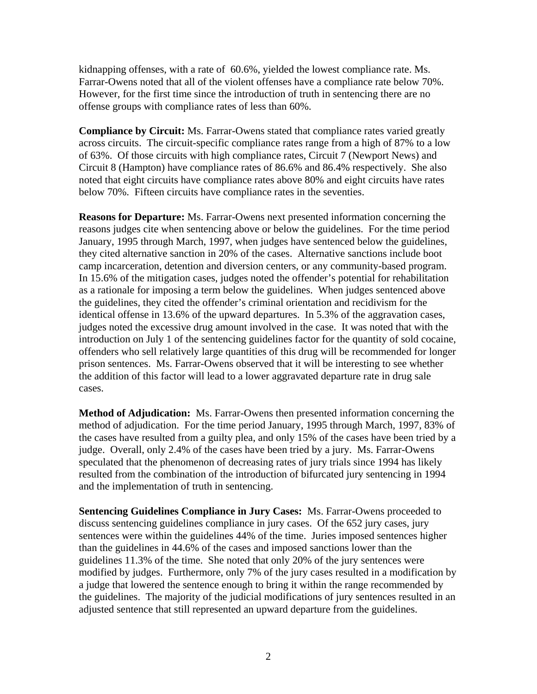kidnapping offenses, with a rate of 60.6%, yielded the lowest compliance rate. Ms. Farrar-Owens noted that all of the violent offenses have a compliance rate below 70%. However, for the first time since the introduction of truth in sentencing there are no offense groups with compliance rates of less than 60%.

**Compliance by Circuit:** Ms. Farrar-Owens stated that compliance rates varied greatly across circuits. The circuit-specific compliance rates range from a high of 87% to a low of 63%. Of those circuits with high compliance rates, Circuit 7 (Newport News) and Circuit 8 (Hampton) have compliance rates of 86.6% and 86.4% respectively. She also noted that eight circuits have compliance rates above 80% and eight circuits have rates below 70%. Fifteen circuits have compliance rates in the seventies.

**Reasons for Departure:** Ms. Farrar-Owens next presented information concerning the reasons judges cite when sentencing above or below the guidelines. For the time period January, 1995 through March, 1997, when judges have sentenced below the guidelines, they cited alternative sanction in 20% of the cases. Alternative sanctions include boot camp incarceration, detention and diversion centers, or any community-based program. In 15.6% of the mitigation cases, judges noted the offender's potential for rehabilitation as a rationale for imposing a term below the guidelines. When judges sentenced above the guidelines, they cited the offender's criminal orientation and recidivism for the identical offense in 13.6% of the upward departures. In 5.3% of the aggravation cases, judges noted the excessive drug amount involved in the case. It was noted that with the introduction on July 1 of the sentencing guidelines factor for the quantity of sold cocaine, offenders who sell relatively large quantities of this drug will be recommended for longer prison sentences. Ms. Farrar-Owens observed that it will be interesting to see whether the addition of this factor will lead to a lower aggravated departure rate in drug sale cases.

**Method of Adjudication:** Ms. Farrar-Owens then presented information concerning the method of adjudication. For the time period January, 1995 through March, 1997, 83% of the cases have resulted from a guilty plea, and only 15% of the cases have been tried by a judge. Overall, only 2.4% of the cases have been tried by a jury. Ms. Farrar-Owens speculated that the phenomenon of decreasing rates of jury trials since 1994 has likely resulted from the combination of the introduction of bifurcated jury sentencing in 1994 and the implementation of truth in sentencing.

**Sentencing Guidelines Compliance in Jury Cases:** Ms. Farrar-Owens proceeded to discuss sentencing guidelines compliance in jury cases. Of the 652 jury cases, jury sentences were within the guidelines 44% of the time. Juries imposed sentences higher than the guidelines in 44.6% of the cases and imposed sanctions lower than the guidelines 11.3% of the time. She noted that only 20% of the jury sentences were modified by judges. Furthermore, only 7% of the jury cases resulted in a modification by a judge that lowered the sentence enough to bring it within the range recommended by the guidelines. The majority of the judicial modifications of jury sentences resulted in an adjusted sentence that still represented an upward departure from the guidelines.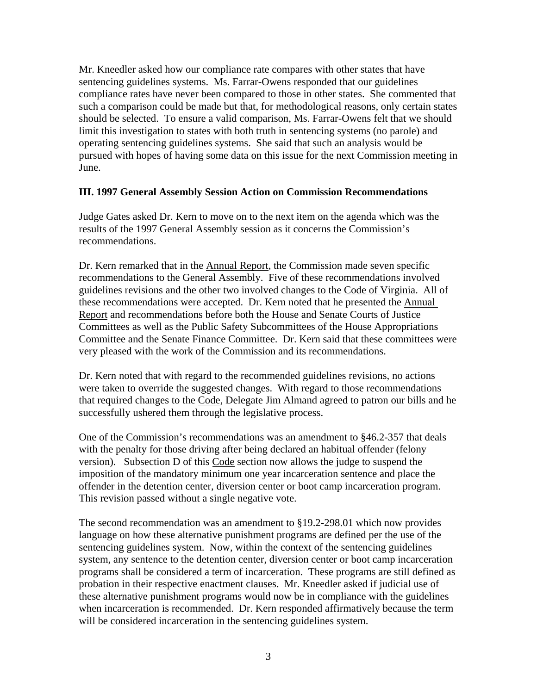Mr. Kneedler asked how our compliance rate compares with other states that have sentencing guidelines systems. Ms. Farrar-Owens responded that our guidelines compliance rates have never been compared to those in other states. She commented that such a comparison could be made but that, for methodological reasons, only certain states should be selected. To ensure a valid comparison, Ms. Farrar-Owens felt that we should limit this investigation to states with both truth in sentencing systems (no parole) and operating sentencing guidelines systems. She said that such an analysis would be pursued with hopes of having some data on this issue for the next Commission meeting in June.

## **III. 1997 General Assembly Session Action on Commission Recommendations**

Judge Gates asked Dr. Kern to move on to the next item on the agenda which was the results of the 1997 General Assembly session as it concerns the Commission's recommendations.

Dr. Kern remarked that in the Annual Report, the Commission made seven specific recommendations to the General Assembly. Five of these recommendations involved guidelines revisions and the other two involved changes to the Code of Virginia. All of these recommendations were accepted. Dr. Kern noted that he presented the Annual Report and recommendations before both the House and Senate Courts of Justice Committees as well as the Public Safety Subcommittees of the House Appropriations Committee and the Senate Finance Committee. Dr. Kern said that these committees were very pleased with the work of the Commission and its recommendations.

Dr. Kern noted that with regard to the recommended guidelines revisions, no actions were taken to override the suggested changes. With regard to those recommendations that required changes to the Code, Delegate Jim Almand agreed to patron our bills and he successfully ushered them through the legislative process.

One of the Commission's recommendations was an amendment to §46.2-357 that deals with the penalty for those driving after being declared an habitual offender (felony version). Subsection D of this Code section now allows the judge to suspend the imposition of the mandatory minimum one year incarceration sentence and place the offender in the detention center, diversion center or boot camp incarceration program. This revision passed without a single negative vote.

The second recommendation was an amendment to §19.2-298.01 which now provides language on how these alternative punishment programs are defined per the use of the sentencing guidelines system. Now, within the context of the sentencing guidelines system, any sentence to the detention center, diversion center or boot camp incarceration programs shall be considered a term of incarceration. These programs are still defined as probation in their respective enactment clauses. Mr. Kneedler asked if judicial use of these alternative punishment programs would now be in compliance with the guidelines when incarceration is recommended. Dr. Kern responded affirmatively because the term will be considered incarceration in the sentencing guidelines system.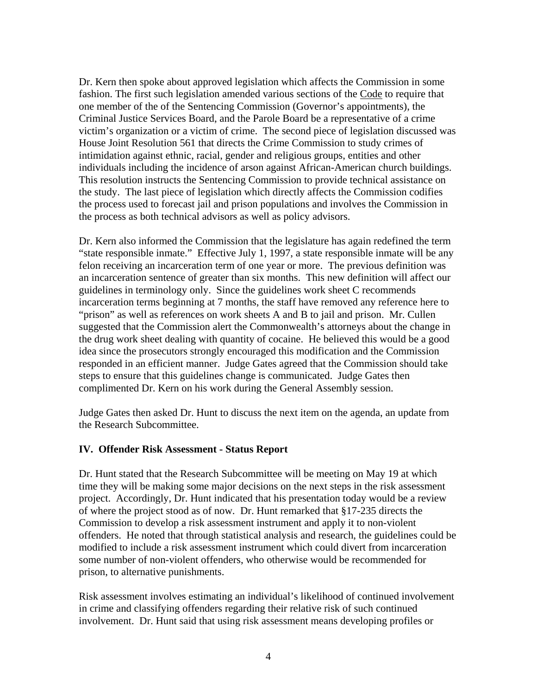Dr. Kern then spoke about approved legislation which affects the Commission in some fashion. The first such legislation amended various sections of the Code to require that one member of the of the Sentencing Commission (Governor's appointments), the Criminal Justice Services Board, and the Parole Board be a representative of a crime victim's organization or a victim of crime. The second piece of legislation discussed was House Joint Resolution 561 that directs the Crime Commission to study crimes of intimidation against ethnic, racial, gender and religious groups, entities and other individuals including the incidence of arson against African-American church buildings. This resolution instructs the Sentencing Commission to provide technical assistance on the study. The last piece of legislation which directly affects the Commission codifies the process used to forecast jail and prison populations and involves the Commission in the process as both technical advisors as well as policy advisors.

Dr. Kern also informed the Commission that the legislature has again redefined the term "state responsible inmate." Effective July 1, 1997, a state responsible inmate will be any felon receiving an incarceration term of one year or more. The previous definition was an incarceration sentence of greater than six months. This new definition will affect our guidelines in terminology only. Since the guidelines work sheet C recommends incarceration terms beginning at 7 months, the staff have removed any reference here to "prison" as well as references on work sheets A and B to jail and prison. Mr. Cullen suggested that the Commission alert the Commonwealth's attorneys about the change in the drug work sheet dealing with quantity of cocaine. He believed this would be a good idea since the prosecutors strongly encouraged this modification and the Commission responded in an efficient manner. Judge Gates agreed that the Commission should take steps to ensure that this guidelines change is communicated. Judge Gates then complimented Dr. Kern on his work during the General Assembly session.

Judge Gates then asked Dr. Hunt to discuss the next item on the agenda, an update from the Research Subcommittee.

#### **IV. Offender Risk Assessment - Status Report**

Dr. Hunt stated that the Research Subcommittee will be meeting on May 19 at which time they will be making some major decisions on the next steps in the risk assessment project. Accordingly, Dr. Hunt indicated that his presentation today would be a review of where the project stood as of now. Dr. Hunt remarked that §17-235 directs the Commission to develop a risk assessment instrument and apply it to non-violent offenders. He noted that through statistical analysis and research, the guidelines could be modified to include a risk assessment instrument which could divert from incarceration some number of non-violent offenders, who otherwise would be recommended for prison, to alternative punishments.

Risk assessment involves estimating an individual's likelihood of continued involvement in crime and classifying offenders regarding their relative risk of such continued involvement. Dr. Hunt said that using risk assessment means developing profiles or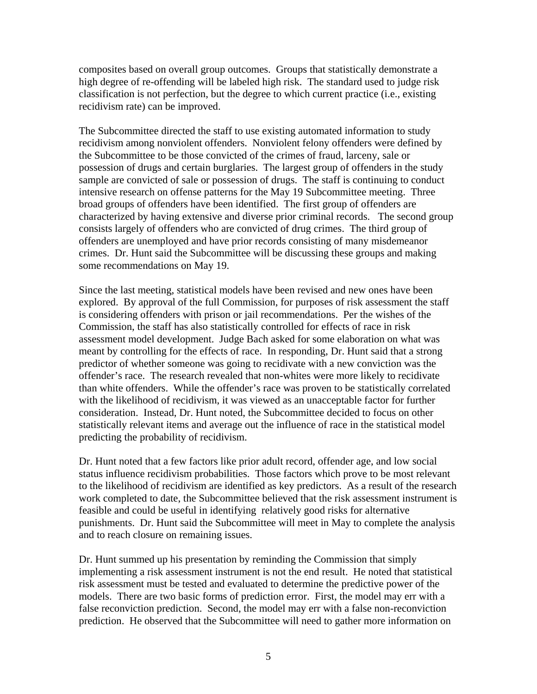composites based on overall group outcomes. Groups that statistically demonstrate a high degree of re-offending will be labeled high risk. The standard used to judge risk classification is not perfection, but the degree to which current practice (i.e., existing recidivism rate) can be improved.

The Subcommittee directed the staff to use existing automated information to study recidivism among nonviolent offenders. Nonviolent felony offenders were defined by the Subcommittee to be those convicted of the crimes of fraud, larceny, sale or possession of drugs and certain burglaries. The largest group of offenders in the study sample are convicted of sale or possession of drugs. The staff is continuing to conduct intensive research on offense patterns for the May 19 Subcommittee meeting. Three broad groups of offenders have been identified. The first group of offenders are characterized by having extensive and diverse prior criminal records. The second group consists largely of offenders who are convicted of drug crimes. The third group of offenders are unemployed and have prior records consisting of many misdemeanor crimes. Dr. Hunt said the Subcommittee will be discussing these groups and making some recommendations on May 19.

Since the last meeting, statistical models have been revised and new ones have been explored. By approval of the full Commission, for purposes of risk assessment the staff is considering offenders with prison or jail recommendations. Per the wishes of the Commission, the staff has also statistically controlled for effects of race in risk assessment model development. Judge Bach asked for some elaboration on what was meant by controlling for the effects of race. In responding, Dr. Hunt said that a strong predictor of whether someone was going to recidivate with a new conviction was the offender's race. The research revealed that non-whites were more likely to recidivate than white offenders. While the offender's race was proven to be statistically correlated with the likelihood of recidivism, it was viewed as an unacceptable factor for further consideration. Instead, Dr. Hunt noted, the Subcommittee decided to focus on other statistically relevant items and average out the influence of race in the statistical model predicting the probability of recidivism.

Dr. Hunt noted that a few factors like prior adult record, offender age, and low social status influence recidivism probabilities. Those factors which prove to be most relevant to the likelihood of recidivism are identified as key predictors. As a result of the research work completed to date, the Subcommittee believed that the risk assessment instrument is feasible and could be useful in identifying relatively good risks for alternative punishments. Dr. Hunt said the Subcommittee will meet in May to complete the analysis and to reach closure on remaining issues.

Dr. Hunt summed up his presentation by reminding the Commission that simply implementing a risk assessment instrument is not the end result. He noted that statistical risk assessment must be tested and evaluated to determine the predictive power of the models. There are two basic forms of prediction error. First, the model may err with a false reconviction prediction. Second, the model may err with a false non-reconviction prediction. He observed that the Subcommittee will need to gather more information on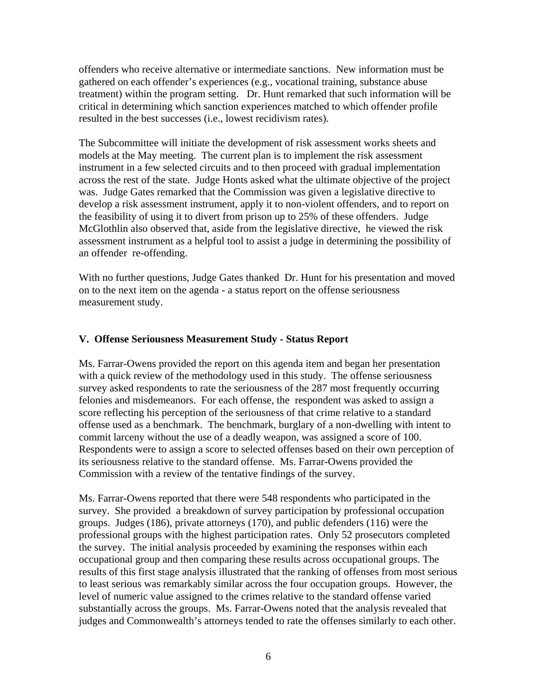offenders who receive alternative or intermediate sanctions. New information must be gathered on each offender's experiences (e.g., vocational training, substance abuse treatment) within the program setting. Dr. Hunt remarked that such information will be critical in determining which sanction experiences matched to which offender profile resulted in the best successes (i.e., lowest recidivism rates).

The Subcommittee will initiate the development of risk assessment works sheets and models at the May meeting. The current plan is to implement the risk assessment instrument in a few selected circuits and to then proceed with gradual implementation across the rest of the state. Judge Honts asked what the ultimate objective of the project was. Judge Gates remarked that the Commission was given a legislative directive to develop a risk assessment instrument, apply it to non-violent offenders, and to report on the feasibility of using it to divert from prison up to 25% of these offenders. Judge McGlothlin also observed that, aside from the legislative directive, he viewed the risk assessment instrument as a helpful tool to assist a judge in determining the possibility of an offender re-offending.

With no further questions, Judge Gates thanked Dr. Hunt for his presentation and moved on to the next item on the agenda - a status report on the offense seriousness measurement study.

## **V. Offense Seriousness Measurement Study - Status Report**

Ms. Farrar-Owens provided the report on this agenda item and began her presentation with a quick review of the methodology used in this study. The offense seriousness survey asked respondents to rate the seriousness of the 287 most frequently occurring felonies and misdemeanors. For each offense, the respondent was asked to assign a score reflecting his perception of the seriousness of that crime relative to a standard offense used as a benchmark. The benchmark, burglary of a non-dwelling with intent to commit larceny without the use of a deadly weapon, was assigned a score of 100. Respondents were to assign a score to selected offenses based on their own perception of its seriousness relative to the standard offense. Ms. Farrar-Owens provided the Commission with a review of the tentative findings of the survey.

Ms. Farrar-Owens reported that there were 548 respondents who participated in the survey. She provided a breakdown of survey participation by professional occupation groups. Judges (186), private attorneys (170), and public defenders (116) were the professional groups with the highest participation rates. Only 52 prosecutors completed the survey. The initial analysis proceeded by examining the responses within each occupational group and then comparing these results across occupational groups. The results of this first stage analysis illustrated that the ranking of offenses from most serious to least serious was remarkably similar across the four occupation groups. However, the level of numeric value assigned to the crimes relative to the standard offense varied substantially across the groups. Ms. Farrar-Owens noted that the analysis revealed that judges and Commonwealth's attorneys tended to rate the offenses similarly to each other.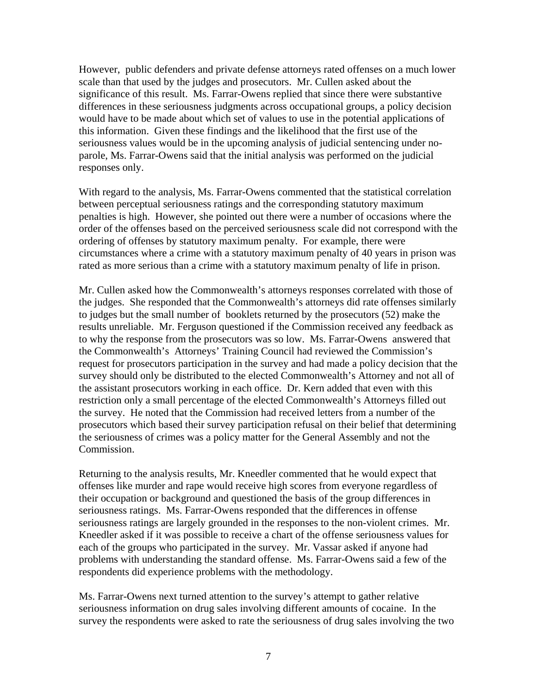However, public defenders and private defense attorneys rated offenses on a much lower scale than that used by the judges and prosecutors. Mr. Cullen asked about the significance of this result. Ms. Farrar-Owens replied that since there were substantive differences in these seriousness judgments across occupational groups, a policy decision would have to be made about which set of values to use in the potential applications of this information. Given these findings and the likelihood that the first use of the seriousness values would be in the upcoming analysis of judicial sentencing under noparole, Ms. Farrar-Owens said that the initial analysis was performed on the judicial responses only.

With regard to the analysis, Ms. Farrar-Owens commented that the statistical correlation between perceptual seriousness ratings and the corresponding statutory maximum penalties is high. However, she pointed out there were a number of occasions where the order of the offenses based on the perceived seriousness scale did not correspond with the ordering of offenses by statutory maximum penalty. For example, there were circumstances where a crime with a statutory maximum penalty of 40 years in prison was rated as more serious than a crime with a statutory maximum penalty of life in prison.

Mr. Cullen asked how the Commonwealth's attorneys responses correlated with those of the judges. She responded that the Commonwealth's attorneys did rate offenses similarly to judges but the small number of booklets returned by the prosecutors (52) make the results unreliable. Mr. Ferguson questioned if the Commission received any feedback as to why the response from the prosecutors was so low. Ms. Farrar-Owens answered that the Commonwealth's Attorneys' Training Council had reviewed the Commission's request for prosecutors participation in the survey and had made a policy decision that the survey should only be distributed to the elected Commonwealth's Attorney and not all of the assistant prosecutors working in each office. Dr. Kern added that even with this restriction only a small percentage of the elected Commonwealth's Attorneys filled out the survey. He noted that the Commission had received letters from a number of the prosecutors which based their survey participation refusal on their belief that determining the seriousness of crimes was a policy matter for the General Assembly and not the Commission.

Returning to the analysis results, Mr. Kneedler commented that he would expect that offenses like murder and rape would receive high scores from everyone regardless of their occupation or background and questioned the basis of the group differences in seriousness ratings. Ms. Farrar-Owens responded that the differences in offense seriousness ratings are largely grounded in the responses to the non-violent crimes. Mr. Kneedler asked if it was possible to receive a chart of the offense seriousness values for each of the groups who participated in the survey. Mr. Vassar asked if anyone had problems with understanding the standard offense. Ms. Farrar-Owens said a few of the respondents did experience problems with the methodology.

Ms. Farrar-Owens next turned attention to the survey's attempt to gather relative seriousness information on drug sales involving different amounts of cocaine. In the survey the respondents were asked to rate the seriousness of drug sales involving the two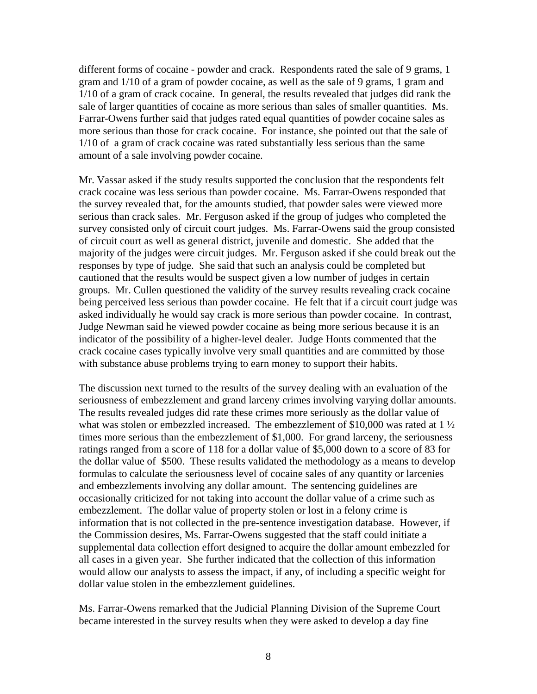different forms of cocaine - powder and crack. Respondents rated the sale of 9 grams, 1 gram and 1/10 of a gram of powder cocaine, as well as the sale of 9 grams, 1 gram and 1/10 of a gram of crack cocaine. In general, the results revealed that judges did rank the sale of larger quantities of cocaine as more serious than sales of smaller quantities. Ms. Farrar-Owens further said that judges rated equal quantities of powder cocaine sales as more serious than those for crack cocaine. For instance, she pointed out that the sale of 1/10 of a gram of crack cocaine was rated substantially less serious than the same amount of a sale involving powder cocaine.

Mr. Vassar asked if the study results supported the conclusion that the respondents felt crack cocaine was less serious than powder cocaine. Ms. Farrar-Owens responded that the survey revealed that, for the amounts studied, that powder sales were viewed more serious than crack sales. Mr. Ferguson asked if the group of judges who completed the survey consisted only of circuit court judges. Ms. Farrar-Owens said the group consisted of circuit court as well as general district, juvenile and domestic. She added that the majority of the judges were circuit judges. Mr. Ferguson asked if she could break out the responses by type of judge. She said that such an analysis could be completed but cautioned that the results would be suspect given a low number of judges in certain groups. Mr. Cullen questioned the validity of the survey results revealing crack cocaine being perceived less serious than powder cocaine. He felt that if a circuit court judge was asked individually he would say crack is more serious than powder cocaine. In contrast, Judge Newman said he viewed powder cocaine as being more serious because it is an indicator of the possibility of a higher-level dealer. Judge Honts commented that the crack cocaine cases typically involve very small quantities and are committed by those with substance abuse problems trying to earn money to support their habits.

The discussion next turned to the results of the survey dealing with an evaluation of the seriousness of embezzlement and grand larceny crimes involving varying dollar amounts. The results revealed judges did rate these crimes more seriously as the dollar value of what was stolen or embezzled increased. The embezzlement of \$10,000 was rated at  $1\frac{1}{2}$ times more serious than the embezzlement of \$1,000. For grand larceny, the seriousness ratings ranged from a score of 118 for a dollar value of \$5,000 down to a score of 83 for the dollar value of \$500. These results validated the methodology as a means to develop formulas to calculate the seriousness level of cocaine sales of any quantity or larcenies and embezzlements involving any dollar amount. The sentencing guidelines are occasionally criticized for not taking into account the dollar value of a crime such as embezzlement. The dollar value of property stolen or lost in a felony crime is information that is not collected in the pre-sentence investigation database. However, if the Commission desires, Ms. Farrar-Owens suggested that the staff could initiate a supplemental data collection effort designed to acquire the dollar amount embezzled for all cases in a given year. She further indicated that the collection of this information would allow our analysts to assess the impact, if any, of including a specific weight for dollar value stolen in the embezzlement guidelines.

Ms. Farrar-Owens remarked that the Judicial Planning Division of the Supreme Court became interested in the survey results when they were asked to develop a day fine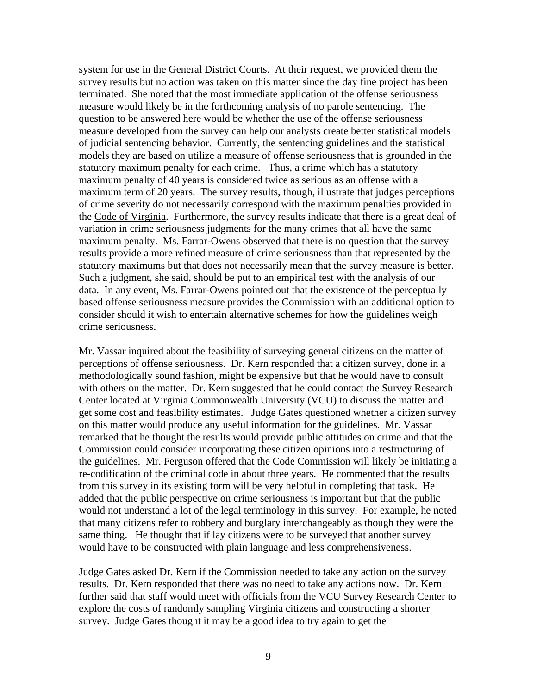system for use in the General District Courts. At their request, we provided them the survey results but no action was taken on this matter since the day fine project has been terminated. She noted that the most immediate application of the offense seriousness measure would likely be in the forthcoming analysis of no parole sentencing. The question to be answered here would be whether the use of the offense seriousness measure developed from the survey can help our analysts create better statistical models of judicial sentencing behavior. Currently, the sentencing guidelines and the statistical models they are based on utilize a measure of offense seriousness that is grounded in the statutory maximum penalty for each crime. Thus, a crime which has a statutory maximum penalty of 40 years is considered twice as serious as an offense with a maximum term of 20 years. The survey results, though, illustrate that judges perceptions of crime severity do not necessarily correspond with the maximum penalties provided in the Code of Virginia. Furthermore, the survey results indicate that there is a great deal of variation in crime seriousness judgments for the many crimes that all have the same maximum penalty. Ms. Farrar-Owens observed that there is no question that the survey results provide a more refined measure of crime seriousness than that represented by the statutory maximums but that does not necessarily mean that the survey measure is better. Such a judgment, she said, should be put to an empirical test with the analysis of our data. In any event, Ms. Farrar-Owens pointed out that the existence of the perceptually based offense seriousness measure provides the Commission with an additional option to consider should it wish to entertain alternative schemes for how the guidelines weigh crime seriousness.

Mr. Vassar inquired about the feasibility of surveying general citizens on the matter of perceptions of offense seriousness. Dr. Kern responded that a citizen survey, done in a methodologically sound fashion, might be expensive but that he would have to consult with others on the matter. Dr. Kern suggested that he could contact the Survey Research Center located at Virginia Commonwealth University (VCU) to discuss the matter and get some cost and feasibility estimates. Judge Gates questioned whether a citizen survey on this matter would produce any useful information for the guidelines. Mr. Vassar remarked that he thought the results would provide public attitudes on crime and that the Commission could consider incorporating these citizen opinions into a restructuring of the guidelines. Mr. Ferguson offered that the Code Commission will likely be initiating a re-codification of the criminal code in about three years. He commented that the results from this survey in its existing form will be very helpful in completing that task. He added that the public perspective on crime seriousness is important but that the public would not understand a lot of the legal terminology in this survey. For example, he noted that many citizens refer to robbery and burglary interchangeably as though they were the same thing. He thought that if lay citizens were to be surveyed that another survey would have to be constructed with plain language and less comprehensiveness.

Judge Gates asked Dr. Kern if the Commission needed to take any action on the survey results. Dr. Kern responded that there was no need to take any actions now. Dr. Kern further said that staff would meet with officials from the VCU Survey Research Center to explore the costs of randomly sampling Virginia citizens and constructing a shorter survey. Judge Gates thought it may be a good idea to try again to get the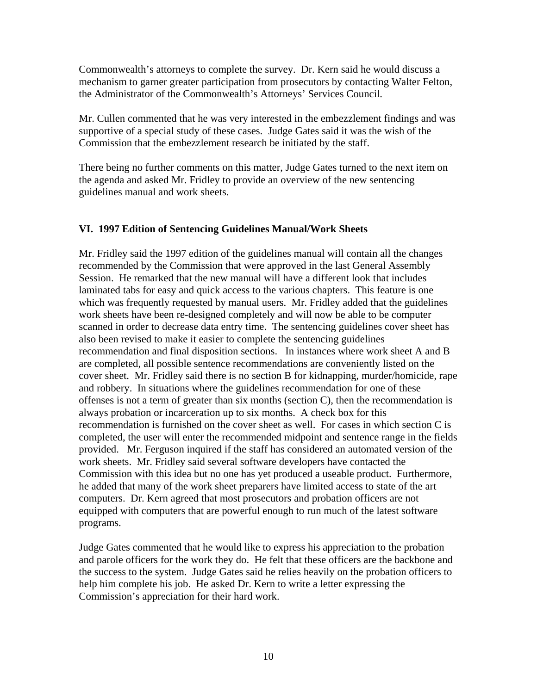Commonwealth's attorneys to complete the survey. Dr. Kern said he would discuss a mechanism to garner greater participation from prosecutors by contacting Walter Felton, the Administrator of the Commonwealth's Attorneys' Services Council.

Mr. Cullen commented that he was very interested in the embezzlement findings and was supportive of a special study of these cases. Judge Gates said it was the wish of the Commission that the embezzlement research be initiated by the staff.

There being no further comments on this matter, Judge Gates turned to the next item on the agenda and asked Mr. Fridley to provide an overview of the new sentencing guidelines manual and work sheets.

## **VI. 1997 Edition of Sentencing Guidelines Manual/Work Sheets**

Mr. Fridley said the 1997 edition of the guidelines manual will contain all the changes recommended by the Commission that were approved in the last General Assembly Session. He remarked that the new manual will have a different look that includes laminated tabs for easy and quick access to the various chapters. This feature is one which was frequently requested by manual users. Mr. Fridley added that the guidelines work sheets have been re-designed completely and will now be able to be computer scanned in order to decrease data entry time. The sentencing guidelines cover sheet has also been revised to make it easier to complete the sentencing guidelines recommendation and final disposition sections. In instances where work sheet A and B are completed, all possible sentence recommendations are conveniently listed on the cover sheet. Mr. Fridley said there is no section B for kidnapping, murder/homicide, rape and robbery. In situations where the guidelines recommendation for one of these offenses is not a term of greater than six months (section C), then the recommendation is always probation or incarceration up to six months. A check box for this recommendation is furnished on the cover sheet as well. For cases in which section C is completed, the user will enter the recommended midpoint and sentence range in the fields provided. Mr. Ferguson inquired if the staff has considered an automated version of the work sheets. Mr. Fridley said several software developers have contacted the Commission with this idea but no one has yet produced a useable product. Furthermore, he added that many of the work sheet preparers have limited access to state of the art computers. Dr. Kern agreed that most prosecutors and probation officers are not equipped with computers that are powerful enough to run much of the latest software programs.

Judge Gates commented that he would like to express his appreciation to the probation and parole officers for the work they do. He felt that these officers are the backbone and the success to the system. Judge Gates said he relies heavily on the probation officers to help him complete his job. He asked Dr. Kern to write a letter expressing the Commission's appreciation for their hard work.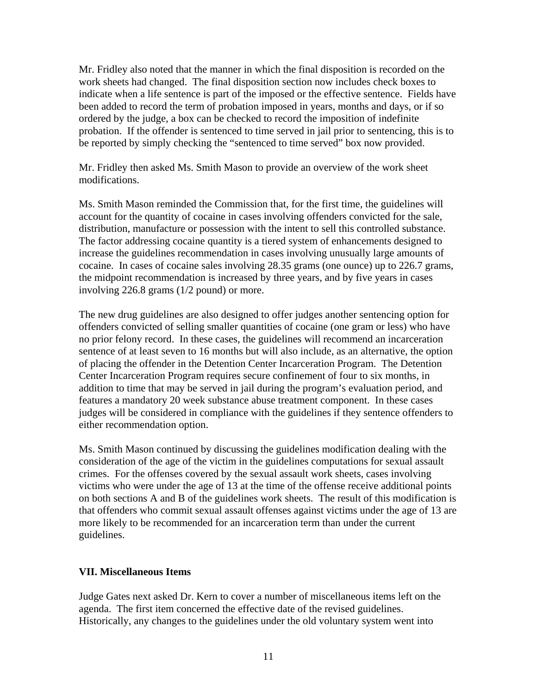Mr. Fridley also noted that the manner in which the final disposition is recorded on the work sheets had changed. The final disposition section now includes check boxes to indicate when a life sentence is part of the imposed or the effective sentence. Fields have been added to record the term of probation imposed in years, months and days, or if so ordered by the judge, a box can be checked to record the imposition of indefinite probation. If the offender is sentenced to time served in jail prior to sentencing, this is to be reported by simply checking the "sentenced to time served" box now provided.

Mr. Fridley then asked Ms. Smith Mason to provide an overview of the work sheet modifications.

Ms. Smith Mason reminded the Commission that, for the first time, the guidelines will account for the quantity of cocaine in cases involving offenders convicted for the sale, distribution, manufacture or possession with the intent to sell this controlled substance. The factor addressing cocaine quantity is a tiered system of enhancements designed to increase the guidelines recommendation in cases involving unusually large amounts of cocaine. In cases of cocaine sales involving 28.35 grams (one ounce) up to 226.7 grams, the midpoint recommendation is increased by three years, and by five years in cases involving 226.8 grams (1/2 pound) or more.

The new drug guidelines are also designed to offer judges another sentencing option for offenders convicted of selling smaller quantities of cocaine (one gram or less) who have no prior felony record. In these cases, the guidelines will recommend an incarceration sentence of at least seven to 16 months but will also include, as an alternative, the option of placing the offender in the Detention Center Incarceration Program. The Detention Center Incarceration Program requires secure confinement of four to six months, in addition to time that may be served in jail during the program's evaluation period, and features a mandatory 20 week substance abuse treatment component. In these cases judges will be considered in compliance with the guidelines if they sentence offenders to either recommendation option.

Ms. Smith Mason continued by discussing the guidelines modification dealing with the consideration of the age of the victim in the guidelines computations for sexual assault crimes. For the offenses covered by the sexual assault work sheets, cases involving victims who were under the age of 13 at the time of the offense receive additional points on both sections A and B of the guidelines work sheets. The result of this modification is that offenders who commit sexual assault offenses against victims under the age of 13 are more likely to be recommended for an incarceration term than under the current guidelines.

#### **VII. Miscellaneous Items**

Judge Gates next asked Dr. Kern to cover a number of miscellaneous items left on the agenda. The first item concerned the effective date of the revised guidelines. Historically, any changes to the guidelines under the old voluntary system went into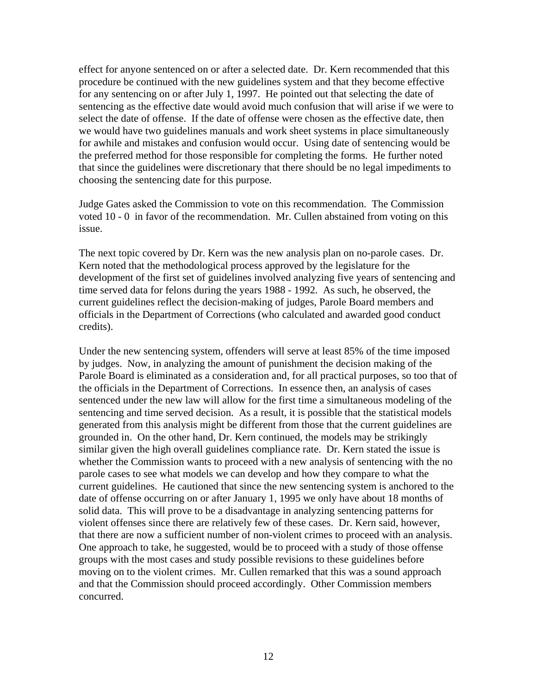effect for anyone sentenced on or after a selected date. Dr. Kern recommended that this procedure be continued with the new guidelines system and that they become effective for any sentencing on or after July 1, 1997. He pointed out that selecting the date of sentencing as the effective date would avoid much confusion that will arise if we were to select the date of offense. If the date of offense were chosen as the effective date, then we would have two guidelines manuals and work sheet systems in place simultaneously for awhile and mistakes and confusion would occur. Using date of sentencing would be the preferred method for those responsible for completing the forms. He further noted that since the guidelines were discretionary that there should be no legal impediments to choosing the sentencing date for this purpose.

Judge Gates asked the Commission to vote on this recommendation. The Commission voted 10 - 0 in favor of the recommendation. Mr. Cullen abstained from voting on this issue.

The next topic covered by Dr. Kern was the new analysis plan on no-parole cases. Dr. Kern noted that the methodological process approved by the legislature for the development of the first set of guidelines involved analyzing five years of sentencing and time served data for felons during the years 1988 - 1992. As such, he observed, the current guidelines reflect the decision-making of judges, Parole Board members and officials in the Department of Corrections (who calculated and awarded good conduct credits).

Under the new sentencing system, offenders will serve at least 85% of the time imposed by judges. Now, in analyzing the amount of punishment the decision making of the Parole Board is eliminated as a consideration and, for all practical purposes, so too that of the officials in the Department of Corrections. In essence then, an analysis of cases sentenced under the new law will allow for the first time a simultaneous modeling of the sentencing and time served decision. As a result, it is possible that the statistical models generated from this analysis might be different from those that the current guidelines are grounded in. On the other hand, Dr. Kern continued, the models may be strikingly similar given the high overall guidelines compliance rate. Dr. Kern stated the issue is whether the Commission wants to proceed with a new analysis of sentencing with the no parole cases to see what models we can develop and how they compare to what the current guidelines. He cautioned that since the new sentencing system is anchored to the date of offense occurring on or after January 1, 1995 we only have about 18 months of solid data. This will prove to be a disadvantage in analyzing sentencing patterns for violent offenses since there are relatively few of these cases. Dr. Kern said, however, that there are now a sufficient number of non-violent crimes to proceed with an analysis. One approach to take, he suggested, would be to proceed with a study of those offense groups with the most cases and study possible revisions to these guidelines before moving on to the violent crimes. Mr. Cullen remarked that this was a sound approach and that the Commission should proceed accordingly. Other Commission members concurred.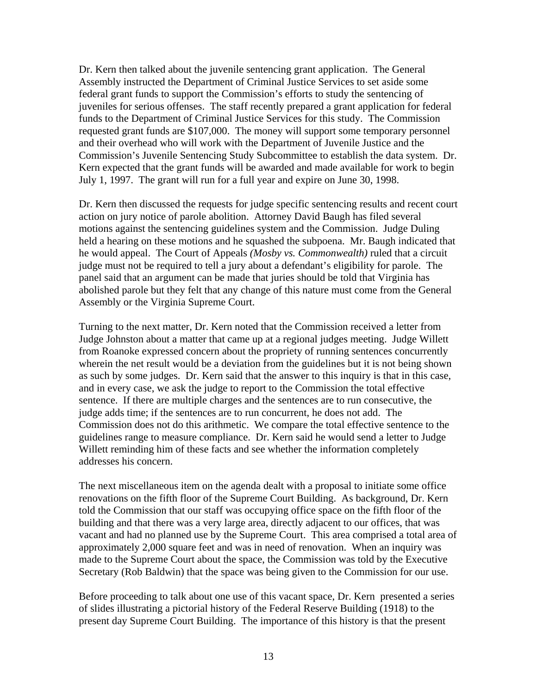Dr. Kern then talked about the juvenile sentencing grant application. The General Assembly instructed the Department of Criminal Justice Services to set aside some federal grant funds to support the Commission's efforts to study the sentencing of juveniles for serious offenses. The staff recently prepared a grant application for federal funds to the Department of Criminal Justice Services for this study. The Commission requested grant funds are \$107,000. The money will support some temporary personnel and their overhead who will work with the Department of Juvenile Justice and the Commission's Juvenile Sentencing Study Subcommittee to establish the data system. Dr. Kern expected that the grant funds will be awarded and made available for work to begin July 1, 1997. The grant will run for a full year and expire on June 30, 1998.

Dr. Kern then discussed the requests for judge specific sentencing results and recent court action on jury notice of parole abolition. Attorney David Baugh has filed several motions against the sentencing guidelines system and the Commission. Judge Duling held a hearing on these motions and he squashed the subpoena. Mr. Baugh indicated that he would appeal. The Court of Appeals *(Mosby vs. Commonwealth)* ruled that a circuit judge must not be required to tell a jury about a defendant's eligibility for parole. The panel said that an argument can be made that juries should be told that Virginia has abolished parole but they felt that any change of this nature must come from the General Assembly or the Virginia Supreme Court.

Turning to the next matter, Dr. Kern noted that the Commission received a letter from Judge Johnston about a matter that came up at a regional judges meeting. Judge Willett from Roanoke expressed concern about the propriety of running sentences concurrently wherein the net result would be a deviation from the guidelines but it is not being shown as such by some judges. Dr. Kern said that the answer to this inquiry is that in this case, and in every case, we ask the judge to report to the Commission the total effective sentence. If there are multiple charges and the sentences are to run consecutive, the judge adds time; if the sentences are to run concurrent, he does not add. The Commission does not do this arithmetic. We compare the total effective sentence to the guidelines range to measure compliance. Dr. Kern said he would send a letter to Judge Willett reminding him of these facts and see whether the information completely addresses his concern.

The next miscellaneous item on the agenda dealt with a proposal to initiate some office renovations on the fifth floor of the Supreme Court Building. As background, Dr. Kern told the Commission that our staff was occupying office space on the fifth floor of the building and that there was a very large area, directly adjacent to our offices, that was vacant and had no planned use by the Supreme Court. This area comprised a total area of approximately 2,000 square feet and was in need of renovation. When an inquiry was made to the Supreme Court about the space, the Commission was told by the Executive Secretary (Rob Baldwin) that the space was being given to the Commission for our use.

Before proceeding to talk about one use of this vacant space, Dr. Kern presented a series of slides illustrating a pictorial history of the Federal Reserve Building (1918) to the present day Supreme Court Building. The importance of this history is that the present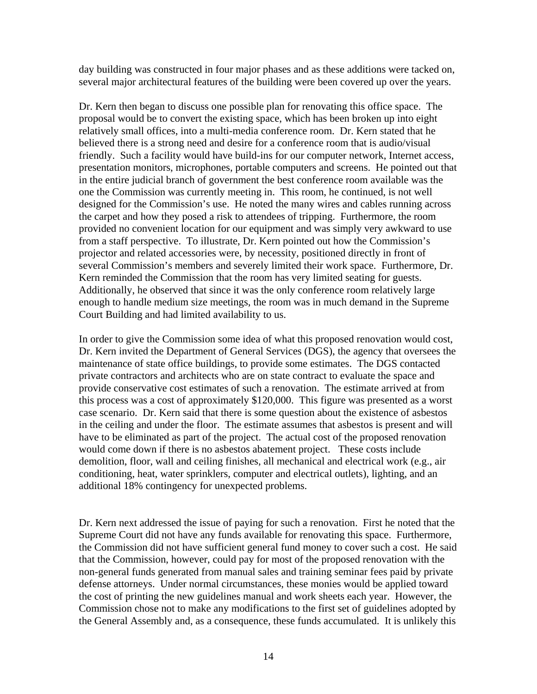day building was constructed in four major phases and as these additions were tacked on, several major architectural features of the building were been covered up over the years.

Dr. Kern then began to discuss one possible plan for renovating this office space. The proposal would be to convert the existing space, which has been broken up into eight relatively small offices, into a multi-media conference room. Dr. Kern stated that he believed there is a strong need and desire for a conference room that is audio/visual friendly. Such a facility would have build-ins for our computer network, Internet access, presentation monitors, microphones, portable computers and screens. He pointed out that in the entire judicial branch of government the best conference room available was the one the Commission was currently meeting in. This room, he continued, is not well designed for the Commission's use. He noted the many wires and cables running across the carpet and how they posed a risk to attendees of tripping. Furthermore, the room provided no convenient location for our equipment and was simply very awkward to use from a staff perspective. To illustrate, Dr. Kern pointed out how the Commission's projector and related accessories were, by necessity, positioned directly in front of several Commission's members and severely limited their work space. Furthermore, Dr. Kern reminded the Commission that the room has very limited seating for guests. Additionally, he observed that since it was the only conference room relatively large enough to handle medium size meetings, the room was in much demand in the Supreme Court Building and had limited availability to us.

In order to give the Commission some idea of what this proposed renovation would cost, Dr. Kern invited the Department of General Services (DGS), the agency that oversees the maintenance of state office buildings, to provide some estimates. The DGS contacted private contractors and architects who are on state contract to evaluate the space and provide conservative cost estimates of such a renovation. The estimate arrived at from this process was a cost of approximately \$120,000. This figure was presented as a worst case scenario. Dr. Kern said that there is some question about the existence of asbestos in the ceiling and under the floor. The estimate assumes that asbestos is present and will have to be eliminated as part of the project. The actual cost of the proposed renovation would come down if there is no asbestos abatement project. These costs include demolition, floor, wall and ceiling finishes, all mechanical and electrical work (e.g., air conditioning, heat, water sprinklers, computer and electrical outlets), lighting, and an additional 18% contingency for unexpected problems.

Dr. Kern next addressed the issue of paying for such a renovation. First he noted that the Supreme Court did not have any funds available for renovating this space. Furthermore, the Commission did not have sufficient general fund money to cover such a cost. He said that the Commission, however, could pay for most of the proposed renovation with the non-general funds generated from manual sales and training seminar fees paid by private defense attorneys. Under normal circumstances, these monies would be applied toward the cost of printing the new guidelines manual and work sheets each year. However, the Commission chose not to make any modifications to the first set of guidelines adopted by the General Assembly and, as a consequence, these funds accumulated. It is unlikely this